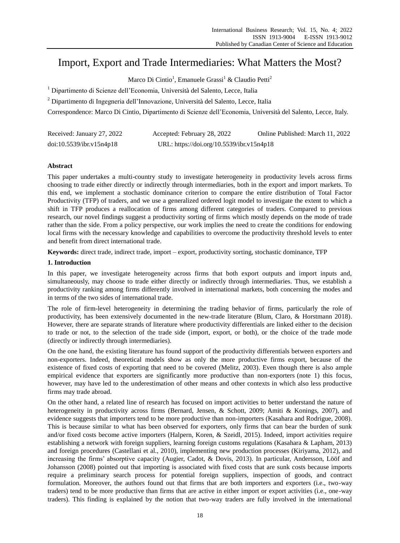# Import, Export and Trade Intermediaries: What Matters the Most?

Marco Di Cintio<sup>1</sup>, Emanuele Grassi<sup>1</sup> & Claudio Petti<sup>2</sup>

<sup>1</sup> Dipartimento di Scienze dell'Economia, Università del Salento, Lecce, Italia

<sup>2</sup> Dipartimento di Ingegneria dell'Innovazione, Università del Salento, Lecce, Italia

Correspondence: Marco Di Cintio, Dipartimento di Scienze dell'Economia, Università del Salento, Lecce, Italy.

| Received: January 27, 2022 | Accepted: February 28, 2022               | Online Published: March 11, 2022 |
|----------------------------|-------------------------------------------|----------------------------------|
| doi:10.5539/ibr.v15n4p18   | URL: https://doi.org/10.5539/ibr.v15n4p18 |                                  |

# **Abstract**

This paper undertakes a multi-country study to investigate heterogeneity in productivity levels across firms choosing to trade either directly or indirectly through intermediaries, both in the export and import markets. To this end, we implement a stochastic dominance criterion to compare the entire distribution of Total Factor Productivity (TFP) of traders, and we use a generalized ordered logit model to investigate the extent to which a shift in TFP produces a reallocation of firms among different categories of traders. Compared to previous research, our novel findings suggest a productivity sorting of firms which mostly depends on the mode of trade rather than the side. From a policy perspective, our work implies the need to create the conditions for endowing local firms with the necessary knowledge and capabilities to overcome the productivity threshold levels to enter and benefit from direct international trade.

**Keywords:** direct trade, indirect trade, import – export, productivity sorting, stochastic dominance, TFP

## **1. Introduction**

In this paper, we investigate heterogeneity across firms that both export outputs and import inputs and, simultaneously, may choose to trade either directly or indirectly through intermediaries. Thus, we establish a productivity ranking among firms differently involved in international markets, both concerning the modes and in terms of the two sides of international trade.

The role of firm-level heterogeneity in determining the trading behavior of firms, particularly the role of productivity, has been extensively documented in the new-trade literature (Blum, Claro, & Horstmann 2018). However, there are separate strands of literature where productivity differentials are linked either to the decision to trade or not, to the selection of the trade side (import, export, or both), or the choice of the trade mode (directly or indirectly through intermediaries).

On the one hand, the existing literature has found support of the productivity differentials between exporters and non-exporters. Indeed, theoretical models show as only the more productive firms export, because of the existence of fixed costs of exporting that need to be covered (Melitz, 2003). Even though there is also ample empirical evidence that exporters are significantly more productive than non-exporters (note 1) this focus, however, may have led to the underestimation of other means and other contexts in which also less productive firms may trade abroad.

On the other hand, a related line of research has focused on import activities to better understand the nature of heterogeneity in productivity across firms (Bernard, Jensen, & Schott, 2009; Amiti & Konings, 2007), and evidence suggests that importers tend to be more productive than non-importers (Kasahara and Rodrigue, 2008). This is because similar to what has been observed for exporters, only firms that can bear the burden of sunk and/or fixed costs become active importers (Halpern, Koren, & Szeidl, 2015). Indeed, import activities require establishing a network with foreign suppliers, learning foreign customs regulations (Kasahara & Lapham, 2013) and foreign procedures (Castellani et al., 2010), implementing new production processes (Kiriyama, 2012), and increasing the firms' absorptive capacity (Augier, Cadot, & Dovis, 2013). In particular, Andersson, Lööf and Johansson (2008) pointed out that importing is associated with fixed costs that are sunk costs because imports require a preliminary search process for potential foreign suppliers, inspection of goods, and contract formulation. Moreover, the authors found out that firms that are both importers and exporters (i.e., two-way traders) tend to be more productive than firms that are active in either import or export activities (i.e., one-way traders). This finding is explained by the notion that two-way traders are fully involved in the international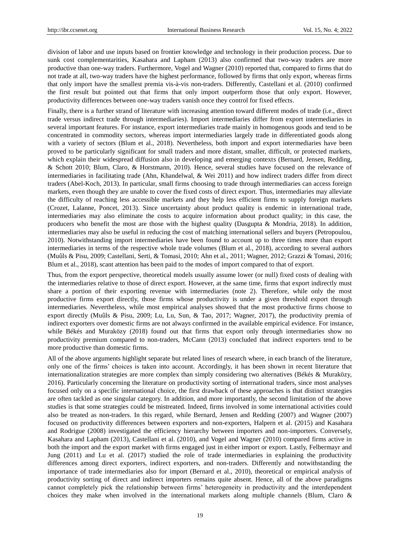division of labor and use inputs based on frontier knowledge and technology in their production process. Due to sunk cost complementarities, Kasahara and Lapham (2013) also confirmed that two-way traders are more productive than one-way traders. Furthermore, Vogel and Wagner (2010) reported that, compared to firms that do not trade at all, two-way traders have the highest performance, followed by firms that only export, whereas firms that only import have the smallest premia vis-à-vis non-traders. Differently, Castellani et al. (2010) confirmed the first result but pointed out that firms that only import outperform those that only export. However, productivity differences between one-way traders vanish once they control for fixed effects.

Finally, there is a further strand of literature with increasing attention toward different modes of trade (i.e., direct trade versus indirect trade through intermediaries). Import intermediaries differ from export intermediaries in several important features. For instance, export intermediaries trade mainly in homogenous goods and tend to be concentrated in commodity sectors, whereas import intermediaries largely trade in differentiated goods along with a variety of sectors (Blum et al., 2018). Nevertheless, both import and export intermediaries have been proved to be particularly significant for small traders and more distant, smaller, difficult, or protected markets, which explain their widespread diffusion also in developing and emerging contexts (Bernard, Jensen, Redding, & Schott 2010; Blum, Claro, & Horstmann, 2010). Hence, several studies have focused on the relevance of intermediaries in facilitating trade (Ahn, Khandelwal, & Wei 2011) and how indirect traders differ from direct traders (Abel-Koch, 2013). In particular, small firms choosing to trade through intermediaries can access foreign markets, even though they are unable to cover the fixed costs of direct export. Thus, intermediaries may alleviate the difficulty of reaching less accessible markets and they help less efficient firms to supply foreign markets (Crozet, Lalanne, Poncet, 2013). Since uncertainty about product quality is endemic in international trade, intermediaries may also eliminate the costs to acquire information about product quality; in this case, the producers who benefit the most are those with the highest quality (Dasgupta & Mondria, 2018). In addition, intermediaries may also be useful in reducing the cost of matching international sellers and buyers (Petropoulou, 2010). Notwithstanding import intermediaries have been found to account up to three times more than export intermediaries in terms of the respective whole trade volumes (Blum et al., 2018), according to several authors (Muûls & Pisu, 2009; Castellani, Serti, & Tomasi, 2010; Ahn et al., 2011; Wagner, 2012; Grazzi & Tomasi, 2016; Blum et al., 2018), scant attention has been paid to the modes of import compared to that of export.

Thus, from the export perspective, theoretical models usually assume lower (or null) fixed costs of dealing with the intermediaries relative to those of direct export. However, at the same time, firms that export indirectly must share a portion of their exporting revenue with intermediaries (note 2). Therefore, while only the most productive firms export directly, those firms whose productivity is under a given threshold export through intermediaries. Nevertheless, while most empirical analyses showed that the most productive firms choose to export directly (Muûls & Pisu, 2009; Lu, Lu, Sun, & Tao, 2017; Wagner, 2017), the productivity premia of indirect exporters over domestic firms are not always confirmed in the available empirical evidence. For instance, while  $B \, \text{d} \mathbf{x}$  and Muraközy (2018) found out that firms that export only through intermediaries show no productivity premium compared to non-traders, McCann (2013) concluded that indirect exporters tend to be more productive than domestic firms.

All of the above arguments highlight separate but related lines of research where, in each branch of the literature, only one of the firms' choices is taken into account. Accordingly, it has been shown in recent literature that internationalization strategies are more complex than simply considering two alternatives (B & & Murak özy, 2016). Particularly concerning the literature on productivity sorting of international traders, since most analyses focused only on a specific international choice, the first drawback of these approaches is that distinct strategies are often tackled as one singular category. In addition, and more importantly, the second limitation of the above studies is that some strategies could be mistreated. Indeed, firms involved in some international activities could also be treated as non-traders. In this regard, while Bernard, Jensen and Redding (2007) and Wagner (2007) focused on productivity differences between exporters and non-exporters, Halpern et al. (2015) and Kasahara and Rodrigue (2008) investigated the efficiency hierarchy between importers and non-importers. Conversely, Kasahara and Lapham (2013), Castellani et al. (2010), and Vogel and Wagner (2010) compared firms active in both the import and the export market with firms engaged just in either import or export. Lastly, Felbermayr and Jung (2011) and Lu et al. (2017) studied the role of trade intermediaries in explaining the productivity differences among direct exporters, indirect exporters, and non-traders. Differently and notwithstanding the importance of trade intermediaries also for import (Bernard et al., 2010), theoretical or empirical analysis of productivity sorting of direct and indirect importers remains quite absent. Hence, all of the above paradigms cannot completely pick the relationship between firms' heterogeneity in productivity and the interdependent choices they make when involved in the international markets along multiple channels (Blum, Claro &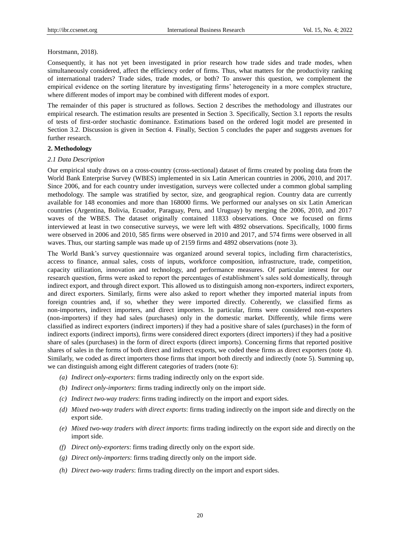#### Horstmann, 2018).

Consequently, it has not yet been investigated in prior research how trade sides and trade modes, when simultaneously considered, affect the efficiency order of firms. Thus, what matters for the productivity ranking of international traders? Trade sides, trade modes, or both? To answer this question, we complement the empirical evidence on the sorting literature by investigating firms' heterogeneity in a more complex structure, where different modes of import may be combined with different modes of export.

The remainder of this paper is structured as follows. Section 2 describes the methodology and illustrates our empirical research. The estimation results are presented in Section 3. Specifically, Section 3.1 reports the results of tests of first-order stochastic dominance. Estimations based on the ordered logit model are presented in Section 3.2. Discussion is given in Section 4. Finally, Section 5 concludes the paper and suggests avenues for further research.

## **2. Methodology**

## *2.1 Data Description*

Our empirical study draws on a cross-country (cross-sectional) dataset of firms created by pooling data from the World Bank Enterprise Survey (WBES) implemented in six Latin American countries in 2006, 2010, and 2017. Since 2006, and for each country under investigation, surveys were collected under a common global sampling methodology. The sample was stratified by sector, size, and geographical region. Country data are currently available for 148 economies and more than 168000 firms. We performed our analyses on six Latin American countries (Argentina, Bolivia, Ecuador, Paraguay, Peru, and Uruguay) by merging the 2006, 2010, and 2017 waves of the WBES. The dataset originally contained 11833 observations. Once we focused on firms interviewed at least in two consecutive surveys, we were left with 4892 observations. Specifically, 1000 firms were observed in 2006 and 2010, 585 firms were observed in 2010 and 2017, and 574 firms were observed in all waves. Thus, our starting sample was made up of 2159 firms and 4892 observations (note 3).

The World Bank's survey questionnaire was organized around several topics, including firm characteristics, access to finance, annual sales, costs of inputs, workforce composition, infrastructure, trade, competition, capacity utilization, innovation and technology, and performance measures. Of particular interest for our research question, firms were asked to report the percentages of establishment's sales sold domestically, through indirect export, and through direct export. This allowed us to distinguish among non-exporters, indirect exporters, and direct exporters. Similarly, firms were also asked to report whether they imported material inputs from foreign countries and, if so, whether they were imported directly. Coherently, we classified firms as non-importers, indirect importers, and direct importers. In particular, firms were considered non-exporters (non-importers) if they had sales (purchases) only in the domestic market. Differently, while firms were classified as indirect exporters (indirect importers) if they had a positive share of sales (purchases) in the form of indirect exports (indirect imports), firms were considered direct exporters (direct importers) if they had a positive share of sales (purchases) in the form of direct exports (direct imports). Concerning firms that reported positive shares of sales in the forms of both direct and indirect exports, we coded these firms as direct exporters (note 4). Similarly, we coded as direct importers those firms that import both directly and indirectly (note 5). Summing up, we can distinguish among eight different categories of traders (note 6):

- *(a) Indirect only-exporters*: firms trading indirectly only on the export side.
- *(b) Indirect only-importers*: firms trading indirectly only on the import side.
- *(c) Indirect two-way traders*: firms trading indirectly on the import and export sides.
- *(d) Mixed two-way traders with direct exports*: firms trading indirectly on the import side and directly on the export side.
- *(e) Mixed two-way traders with direct imports*: firms trading indirectly on the export side and directly on the import side.
- *(f) Direct only-exporters*: firms trading directly only on the export side.
- *(g) Direct only-importers*: firms trading directly only on the import side.
- *(h) Direct two-way traders*: firms trading directly on the import and export sides[.](#page-3-0)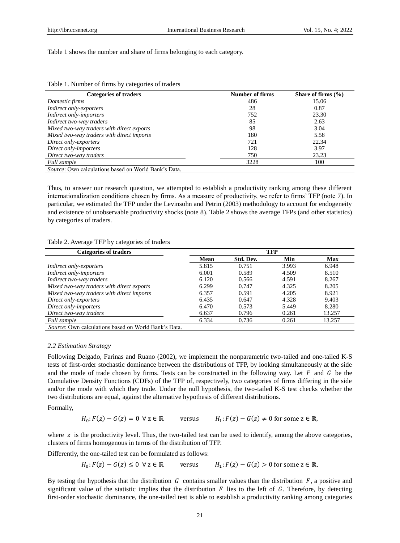<span id="page-3-0"></span>[Table](#page-3-0) 1 shows the number and share of firms belonging to each category.

| <b>Categories of traders</b>                         | <b>Number of firms</b> | Share of firms $(\% )$ |
|------------------------------------------------------|------------------------|------------------------|
| Domestic firms                                       | 486                    | 15.06                  |
| Indirect only-exporters                              | 28                     | 0.87                   |
| Indirect only-importers                              | 752                    | 23.30                  |
| Indirect two-way traders                             | 85                     | 2.63                   |
| Mixed two-way traders with direct exports            | 98                     | 3.04                   |
| Mixed two-way traders with direct imports            | 180                    | 5.58                   |
| Direct only-exporters                                | 721                    | 22.34                  |
| Direct only-importers                                | 128                    | 3.97                   |
| Direct two-way traders                               | 750                    | 23.23                  |
| Full sample                                          | 3228                   | 100                    |
| Source: Own calculations based on World Bank's Data. |                        |                        |

Thus, to answer our research question, we attempted to establish a productivity ranking among these different internationalization conditions chosen by firms. As a measure of productivity, we refer to firms' TFP (note 7). In particular, we estimated the TFP under the Levinsohn and Petrin (2003) methodology to account for endogeneity and existence of unobservable productivity shocks (note 8). [Table 2](#page-3-1) shows the average TFPs (and other statistics) by categories of traders.

<span id="page-3-1"></span>Table 2. Average TFP by categories of traders

| <b>Categories of traders</b>                                                                                                                                                           |       |           | <b>TFP</b> |        |
|----------------------------------------------------------------------------------------------------------------------------------------------------------------------------------------|-------|-----------|------------|--------|
|                                                                                                                                                                                        | Mean  | Std. Dev. | Min        | Max    |
| Indirect only-exporters                                                                                                                                                                | 5.815 | 0.751     | 3.993      | 6.948  |
| Indirect only-importers                                                                                                                                                                | 6.001 | 0.589     | 4.509      | 8.510  |
| Indirect two-way traders                                                                                                                                                               | 6.120 | 0.566     | 4.591      | 8.267  |
| Mixed two-way traders with direct exports                                                                                                                                              | 6.299 | 0.747     | 4.325      | 8.205  |
| Mixed two-way traders with direct imports                                                                                                                                              | 6.357 | 0.591     | 4.205      | 8.921  |
| Direct only-exporters                                                                                                                                                                  | 6.435 | 0.647     | 4.328      | 9.403  |
| Direct only-importers                                                                                                                                                                  | 6.470 | 0.573     | 5.449      | 8.280  |
| Direct two-way traders                                                                                                                                                                 | 6.637 | 0.796     | 0.261      | 13.257 |
| Full sample                                                                                                                                                                            | 6.334 | 0.736     | 0.261      | 13.257 |
| $R_{\text{2}}$ and $\Omega_{\text{2}}$ and $\Omega_{\text{2}}$ and $\Omega_{\text{2}}$ and $\Omega_{\text{2}}$ and $\Omega_{\text{2}}$ and $\Omega_{\text{2}}$ and $\Omega_{\text{2}}$ |       |           |            |        |

*Source*: Own calculations based on World Bank's Data.

## *2.2 Estimation Strategy*

Following Delgado, Farinas and Ruano (2002), we implement the nonparametric two-tailed and one-tailed K-S tests of first-order stochastic dominance between the distributions of TFP, by looking simultaneously at the side and the mode of trade chosen by firms. Tests can be constructed in the following way. Let  $F$  and  $G$  be the Cumulative Density Functions (CDFs) of the TFP of, respectively, two categories of firms differing in the side and/or the mode with which they trade. Under the null hypothesis, the two-tailed K-S test checks whether the two distributions are equal, against the alternative hypothesis of different distributions.

Formally,

$$
H_0: F(z) - G(z) = 0 \quad \forall \ z \in \mathbb{R} \qquad \text{versus} \qquad H_1: F(z) - G(z) \neq 0 \text{ for some } z \in \mathbb{R},
$$

where  $z$  is the productivity level. Thus, the two-tailed test can be used to identify, among the above categories, clusters of firms homogenous in terms of the distribution of TFP.

Differently, the one-tailed test can be formulated as follows:

 $H_0: F(z) - G(z) \leq 0 \ \forall \ z \in \mathbb{R}$  versus  $H_1$  $H_1$ :  $F(z) - G(z) > 0$  for some  $z \in \mathbb{R}$ .

By testing the hypothesis that the distribution  $G$  contains smaller values than the distribution  $F$ , a positive and significant value of the statistic implies that the distribution  $F$  lies to the left of  $G$ . Therefore, by detecting first-order stochastic dominance, the one-tailed test is able to establish a productivity ranking among categories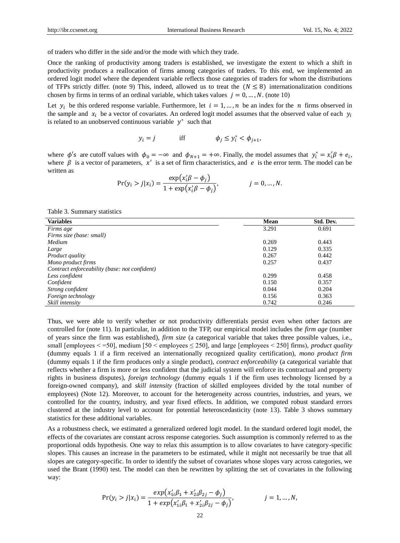of traders who differ in the side and/or the mode with which they trade.

Once the ranking of productivity among traders is established, we investigate the extent to which a shift in productivity produces a reallocation of firms among categories of traders. To this end, we implemented an ordered logit model where the dependent variable reflects those categories of traders for whom the distributions of TFPs strictly differ. (note 9) This, indeed, allowed us to treat the  $(N \leq 8)$  internationalization conditions chosen by firms in terms of an ordinal variable, which takes values  $j = 0, ..., N$ . (note 10)

Let  $y_i$  be this ordered response variable. Furthermore, let  $i = 1, ..., n$  be an index for the *n* firms observed in the sample and  $x_i$  be a vector of covariates. An ordered logit model assumes that the observed value of each  $y_i$ is related to an unobserved continuous variable  $y^*$  such that

$$
y_i = j \qquad \text{iff} \qquad \phi_j \le y_i^* < \phi_{j+1},
$$

where  $\phi$ 's are cutoff values with  $\phi_0 = -\infty$  and  $\phi_{N+1} = +\infty$ . Finally, the model assumes that  $y_i^* = x_i'\beta + e_i$ , where  $\beta$  is a vector of parameters,  $x'$  is a set of firm characteristics, and e is the error term. The model can be written as

$$
Pr(y_i > j | x_i) = \frac{\exp(x'_i \beta - \phi_j)}{1 + \exp(x'_i \beta - \phi_j)}, \qquad j = 0, ..., N.
$$

<span id="page-4-0"></span>Table 3. Summary statistics

| <b>Variables</b>                              | Mean  | Std. Dev. |
|-----------------------------------------------|-------|-----------|
| Firms age                                     | 3.291 | 0.691     |
| Firms size (base: small)                      |       |           |
| Medium                                        | 0.269 | 0.443     |
| Large                                         | 0.129 | 0.335     |
| <i>Product quality</i>                        | 0.267 | 0.442     |
| Mono product firms                            | 0.257 | 0.437     |
| Contract enforceability (base: not confident) |       |           |
| Less confident                                | 0.299 | 0.458     |
| Confident                                     | 0.150 | 0.357     |
| Strong confident                              | 0.044 | 0.204     |
| Foreign technology                            | 0.156 | 0.363     |
| Skill intensity                               | 0.742 | 0.246     |

Thus, we were able to verify whether or not productivity differentials persist even when other factors are controlled for (note 11). In particular, in addition to the TFP, our empirical model includes the *firm age* (number of years since the firm was established), *firm size* (a categorical variable that takes three possible values, i.e., small [employees < =50], medium [50 < employees ≤ 250], and large [employees < 250] firms), *product quality* (dummy equals 1 if a firm received an internationally recognized quality certification), *mono product firm*  (dummy equals 1 if the firm produces only a single product), *contract enforceability* (a categorical variable that reflects whether a firm is more or less confident that the judicial system will enforce its contractual and property rights in business disputes), *foreign technology* (dummy equals 1 if the firm uses technology licensed by a foreign-owned company), and *skill intensity* (fraction of skilled employees divided by the total number of employees) (Note 12). Moreover, to account for the heterogeneity across countries, industries, and years, we controlled for the country, industry, and year fixed effects. In addition, we computed robust standard errors clustered at the industry level to account for potential heteroscedasticity (note 13). [Table 3](#page-4-0) shows summary statistics for these additional variables.

As a robustness check, we estimated a generalized ordered logit model. In the standard ordered logit model, the effects of the covariates are constant across response categories. Such assumption is commonly referred to as the proportional odds hypothesis. One way to relax this assumption is to allow covariates to have category-specific slopes. This causes an increase in the parameters to be estimated, while it might not necessarily be true that all slopes are category-specific. In order to identify the subset of covariates whose slopes vary across categories, we used the Brant (1990) test. The model can then be rewritten by splitting the set of covariates in the following way:

$$
\Pr(y_i > j | x_i) = \frac{exp(x_{1i}'\beta_1 + x_{2i}'\beta_{2j} - \phi_j)}{1 + exp(x_{1i}'\beta_1 + x_{2i}'\beta_{2j} - \phi_j)}, \qquad j = 1, ..., N,
$$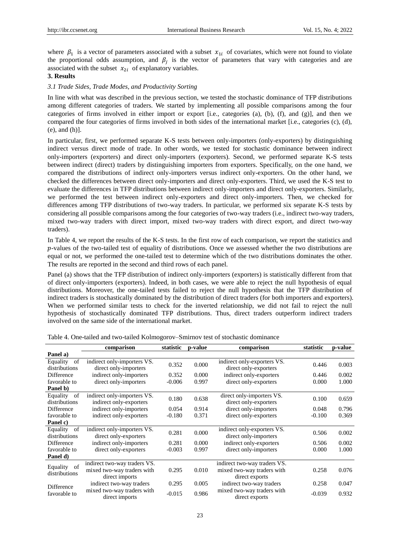where  $\beta_1$  is a vector of parameters associated with a subset  $x_{1i}$  of covariates, which were not found to violate the proportional odds assumption, and  $\beta_j$  is the vector of parameters that vary with categories and are associated with the subset  $x_{2i}$  of explanatory variables.

## **3. Results**

## *3.1 Trade Sides, Trade Modes, and Productivity Sorting*

In line with what was described in the previous section, we tested the stochastic dominance of TFP distributions among different categories of traders. We started by implementing all possible comparisons among the four categories of firms involved in either import or export [i.e., categories (a), (b), (f), and (g)], and then we compared the four categories of firms involved in both sides of the international market [i.e., categories (c), (d), (e), and (h)].

In particular, first, we performed separate K-S tests between only-importers (only-exporters) by distinguishing indirect versus direct mode of trade. In other words, we tested for stochastic dominance between indirect only-importers (exporters) and direct only-importers (exporters). Second, we performed separate K-S tests between indirect (direct) traders by distinguishing importers from exporters. Specifically, on the one hand, we compared the distributions of indirect only-importers versus indirect only-exporters. On the other hand, we checked the differences between direct only-importers and direct only-exporters. Third, we used the K-S test to evaluate the differences in TFP distributions between indirect only-importers and direct only-exporters. Similarly, we performed the test between indirect only-exporters and direct only-importers. Then, we checked for differences among TFP distributions of two-way traders. In particular, we performed six separate K-S tests by considering all possible comparisons among the four categories of two-way traders (i.e., indirect two-way traders, mixed two-way traders with direct import, mixed two-way traders with direct export, and direct two-way traders).

In [Table 4,](#page-5-0) we report the results of the K-S tests. In the first row of each comparison, we report the statistics and  $p$ -values of the two-tailed test of equality of distributions. Once we assessed whether the two distributions are equal or not, we performed the one-tailed test to determine which of the two distributions dominates the other. The results are reported in the second and third rows of each panel.

Panel (a) shows that the TFP distribution of indirect only-importers (exporters) is statistically different from that of direct only-importers (exporters). Indeed, in both cases, we were able to reject the null hypothesis of equal distributions. Moreover, the one-tailed tests failed to reject the null hypothesis that the TFP distribution of indirect traders is stochastically dominated by the distribution of direct traders (for both importers and exporters). When we performed similar tests to check for the inverted relationship, we did not fail to reject the null hypothesis of stochastically dominated TFP distributions. Thus, direct traders outperform indirect traders involved on the same side of the international market.

|                | comparison                   | statistic | p-value | comparison                   | statistic | p-value |
|----------------|------------------------------|-----------|---------|------------------------------|-----------|---------|
| Panel a)       |                              |           |         |                              |           |         |
| Equality<br>of | indirect only-importers VS.  | 0.352     | 0.000   | indirect only-exporters VS.  | 0.446     | 0.003   |
| distributions  | direct only-importers        |           |         | direct only-exporters        |           |         |
| Difference     | indirect only-importers      | 0.352     | 0.000   | indirect only-exporters      | 0.446     | 0.002   |
| favorable to   | direct only-importers        | $-0.006$  | 0.997   | direct only-exporters        | 0.000     | 1.000   |
| Panel b)       |                              |           |         |                              |           |         |
| Equality<br>of | indirect only-importers VS.  | 0.180     | 0.638   | direct only-importers VS.    | 0.100     | 0.659   |
| distributions  | indirect only-exporters      |           |         | direct only-exporters        |           |         |
| Difference     | indirect only-importers      | 0.054     | 0.914   | direct only-importers        | 0.048     | 0.796   |
| favorable to   | indirect only-exporters      | $-0.180$  | 0.371   | direct only-exporters        | $-0.100$  | 0.369   |
| Panel c)       |                              |           |         |                              |           |         |
| of<br>Equality | indirect only-importers VS.  | 0.281     | 0.000   | indirect only-exporters VS.  | 0.506     | 0.002   |
| distributions  | direct only-exporters        |           |         | direct only-importers        |           |         |
| Difference     | indirect only-importers      | 0.281     | 0.000   | indirect only-exporters      | 0.506     | 0.002   |
| favorable to   | direct only-exporters        | $-0.003$  | 0.997   | direct only-importers        | 0.000     | 1.000   |
| Panel d)       |                              |           |         |                              |           |         |
| of<br>Equality | indirect two-way traders VS. |           |         | indirect two-way traders VS. |           |         |
| distributions  | mixed two-way traders with   | 0.295     | 0.010   | mixed two-way traders with   | 0.258     | 0.076   |
|                | direct imports               |           |         | direct exports               |           |         |
| Difference     | indirect two-way traders     | 0.295     | 0.005   | indirect two-way traders     | 0.258     | 0.047   |
| favorable to   | mixed two-way traders with   | $-0.015$  | 0.986   | mixed two-way traders with   | $-0.039$  | 0.932   |
|                | direct imports               |           |         | direct exports               |           |         |

<span id="page-5-0"></span>Table 4. One-tailed and two-tailed Kolmogorov–Smirnov test of stochastic dominance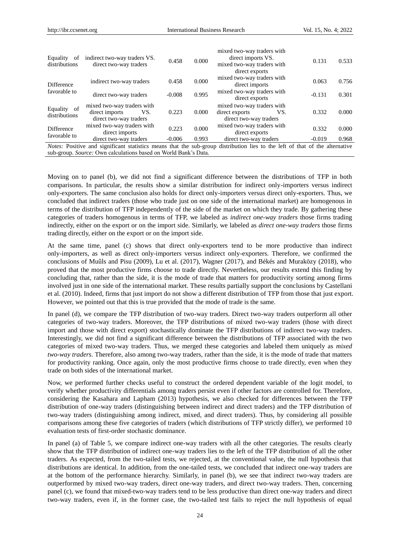| Equality<br>of<br>distributions | indirect two-way traders VS.<br>direct two-way traders                        | 0.458    | 0.000 | mixed two-way traders with<br>direct imports VS.<br>mixed two-way traders with<br>direct exports                                    | 0.131    | 0.533 |
|---------------------------------|-------------------------------------------------------------------------------|----------|-------|-------------------------------------------------------------------------------------------------------------------------------------|----------|-------|
| Difference                      | indirect two-way traders                                                      | 0.458    | 0.000 | mixed two-way traders with<br>direct imports                                                                                        | 0.063    | 0.756 |
| favorable to                    | direct two-way traders                                                        | $-0.008$ | 0.995 | mixed two-way traders with<br>direct exports                                                                                        | $-0.131$ | 0.301 |
| Equality of<br>distributions    | mixed two-way traders with<br>direct imports<br>VS.<br>direct two-way traders | 0.223    | 0.000 | mixed two-way traders with<br>VS.<br>direct exports<br>direct two-way traders                                                       | 0.332    | 0.000 |
| <b>Difference</b>               | mixed two-way traders with<br>direct imports                                  | 0.223    | 0.000 | mixed two-way traders with<br>direct exports                                                                                        | 0.332    | 0.000 |
| favorable to                    | direct two-way traders                                                        | $-0.006$ | 0.993 | direct two-way traders                                                                                                              | $-0.019$ | 0.968 |
|                                 |                                                                               |          |       | <i>Notes:</i> Positive and significant statistics means that the sub-group distribution lies to the left of that of the alternative |          |       |
|                                 | sub-group. Source: Own calculations based on World Bank's Data.               |          |       |                                                                                                                                     |          |       |

Moving on to panel (b), we did not find a significant difference between the distributions of TFP in both comparisons. In particular, the results show a similar distribution for indirect only-importers versus indirect only-exporters. The same conclusion also holds for direct only-importers versus direct only-exporters. Thus, we concluded that indirect traders (those who trade just on one side of the international market) are homogenous in terms of the distribution of TFP independently of the side of the market on which they trade. By gathering these categories of traders homogenous in terms of TFP, we labeled as *indirect one-way traders* those firms trading indirectly, either on the export or on the import side. Similarly, we labeled as *direct one-way traders* those firms trading directly, either on the export or on the import side.

At the same time, panel (c) shows that direct only-exporters tend to be more productive than indirect only-importers, as well as direct only-importers versus indirect only-exporters. Therefore, we confirmed the conclusions of Mu ûls and Pisu (2009), Lu et al. (2017), Wagner (2017), and B & & and Muraközy (2018), who proved that the most productive firms choose to trade directly. Nevertheless, our results extend this finding by concluding that, rather than the side, it is the mode of trade that matters for productivity sorting among firms involved just in one side of the international market. These results partially support the conclusions by Castellani et al. (2010). Indeed, firms that just import do not show a different distribution of TFP from those that just export. However, we pointed out that this is true provided that the mode of trade is the same.

In panel (d), we compare the TFP distribution of two-way traders. Direct two-way traders outperform all other categories of two-way traders. Moreover, the TFP distributions of mixed two-way traders (those with direct import and those with direct export) stochastically dominate the TFP distributions of indirect two-way traders. Interestingly, we did not find a significant difference between the distributions of TFP associated with the two categories of mixed two-way traders. Thus, we merged these categories and labeled them uniquely as *mixed two-way traders*. Therefore, also among two-way traders, rather than the side, it is the mode of trade that matters for productivity ranking. Once again, only the most productive firms choose to trade directly, even when they trade on both sides of the international market.

Now, we performed further checks useful to construct the ordered dependent variable of the logit model, to verify whether productivity differentials among traders persist even if other factors are controlled for. Therefore, considering the Kasahara and Lapham (2013) hypothesis, we also checked for differences between the TFP distribution of one-way traders (distinguishing between indirect and direct traders) and the TFP distribution of two-way traders (distinguishing among indirect, mixed, and direct traders). Thus, by considering all possible comparisons among these five categories of traders (which distributions of TFP strictly differ), we performed 10 evaluation tests of first-order stochastic dominance.

In panel (a) of [Table 5,](#page-7-0) we compare indirect one-way traders with all the other categories. The results clearly show that the TFP distribution of indirect one-way traders lies to the left of the TFP distribution of all the other traders. As expected, from the two-tailed tests, we rejected, at the conventional value, the null hypothesis that distributions are identical. In addition, from the one-tailed tests, we concluded that indirect one-way traders are at the bottom of the performance hierarchy. Similarly, in panel (b), we see that indirect two-way traders are outperformed by mixed two-way traders, direct one-way traders, and direct two-way traders. Then, concerning panel (c), we found that mixed-two-way traders tend to be less productive than direct one-way traders and direct two-way traders, even if, in the former case, the two-tailed test fails to reject the null hypothesis of equal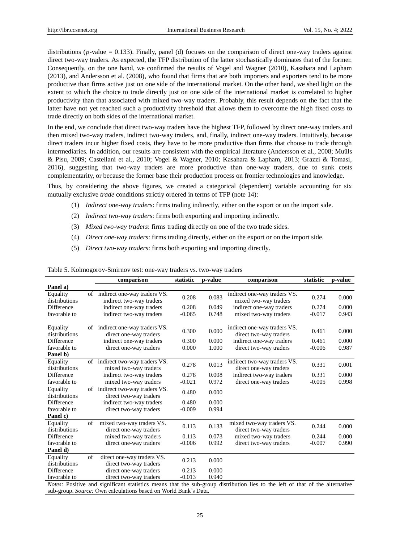distributions ( $p$ -value = 0.133). Finally, panel (d) focuses on the comparison of direct one-way traders against direct two-way traders. As expected, the TFP distribution of the latter stochastically dominates that of the former. Consequently, on the one hand, we confirmed the results of Vogel and Wagner (2010), Kasahara and Lapham (2013), and Andersson et al. (2008), who found that firms that are both importers and exporters tend to be more productive than firms active just on one side of the international market. On the other hand, we shed light on the extent to which the choice to trade directly just on one side of the international market is correlated to higher productivity than that associated with mixed two-way traders. Probably, this result depends on the fact that the latter have not yet reached such a productivity threshold that allows them to overcome the high fixed costs to trade directly on both sides of the international market.

In the end, we conclude that direct two-way traders have the highest TFP, followed by direct one-way traders and then mixed two-way traders, indirect two-way traders, and, finally, indirect one-way traders. Intuitively, because direct traders incur higher fixed costs, they have to be more productive than firms that choose to trade through intermediaries. In addition, our results are consistent with the empirical literature (Andersson et al., 2008; Muûls & Pisu, 2009; Castellani et al., 2010; Vogel & Wagner, 2010; Kasahara & Lapham, 2013; Grazzi & Tomasi, 2016), suggesting that two-way traders are more productive than one-way traders, due to sunk costs complementarity, or because the former base their production process on frontier technologies and knowledge.

Thus, by considering the above figures, we created a categorical (dependent) variable accounting for six mutually exclusive *trade* conditions strictly ordered in terms of TFP (note 14):

- (1) *Indirect one-way traders*: firms trading indirectly, either on the export or on the import side.
- (2) *Indirect two-way traders*: firms both exporting and importing indirectly.
- (3) *Mixed two-way traders*: firms trading directly on one of the two trade sides.
- (4) *Direct one-way traders*: firms trading directly, either on the export or on the import side.
- (5) *Direct two-way traders*: firms both exporting and importing directly.

|                           |    | comparison                                                                                                                   | statistic | p-value | comparison                                             | statistic | p-value |
|---------------------------|----|------------------------------------------------------------------------------------------------------------------------------|-----------|---------|--------------------------------------------------------|-----------|---------|
| Panel a)                  |    |                                                                                                                              |           |         |                                                        |           |         |
| Equality<br>distributions |    | of indirect one-way traders VS.<br>indirect two-way traders                                                                  | 0.208     | 0.083   | indirect one-way traders VS.<br>mixed two-way traders  | 0.274     | 0.000   |
| Difference                |    | indirect one-way traders                                                                                                     | 0.208     | 0.049   | indirect one-way traders                               | 0.274     | 0.000   |
| favorable to              |    | indirect two-way traders                                                                                                     | $-0.065$  | 0.748   | mixed two-way traders                                  | $-0.017$  | 0.943   |
| Equality<br>distributions | of | indirect one-way traders VS.<br>direct one-way traders                                                                       | 0.300     | 0.000   | indirect one-way traders VS.<br>direct two-way traders | 0.461     | 0.000   |
| Difference                |    | indirect one-way traders                                                                                                     | 0.300     | 0.000   | indirect one-way traders                               | 0.461     | 0.000   |
| favorable to              |    | direct one-way traders                                                                                                       | 0.000     | 1.000   | direct two-way traders                                 | $-0.006$  | 0.987   |
| Panel b)                  |    |                                                                                                                              |           |         |                                                        |           |         |
| Equality<br>distributions |    | of indirect two-way traders VS.<br>mixed two-way traders                                                                     | 0.278     | 0.013   | indirect two-way traders VS.<br>direct one-way traders | 0.331     | 0.001   |
| Difference                |    | indirect two-way traders                                                                                                     | 0.278     | 0.008   | indirect two-way traders                               | 0.331     | 0.000   |
| favorable to              |    | mixed two-way traders                                                                                                        | $-0.021$  | 0.972   | direct one-way traders                                 | $-0.005$  | 0.998   |
| Equality<br>distributions |    | of indirect two-way traders VS.<br>direct two-way traders                                                                    | 0.480     | 0.000   |                                                        |           |         |
| <b>Difference</b>         |    | indirect two-way traders                                                                                                     | 0.480     | 0.000   |                                                        |           |         |
| favorable to              |    | direct two-way traders                                                                                                       | $-0.009$  | 0.994   |                                                        |           |         |
| Panel c)                  |    |                                                                                                                              |           |         |                                                        |           |         |
| Equality<br>distributions | of | mixed two-way traders VS.<br>direct one-way traders                                                                          | 0.113     | 0.133   | mixed two-way traders VS.<br>direct two-way traders    | 0.244     | 0.000   |
| Difference                |    | mixed two-way traders                                                                                                        | 0.113     | 0.073   | mixed two-way traders                                  | 0.244     | 0.000   |
| favorable to              |    | direct one-way traders                                                                                                       | $-0.006$  | 0.992   | direct two-way traders                                 | $-0.007$  | 0.990   |
| Panel d)                  |    |                                                                                                                              |           |         |                                                        |           |         |
| Equality<br>distributions | of | direct one-way traders VS.<br>direct two-way traders                                                                         | 0.213     | 0.000   |                                                        |           |         |
| Difference                |    | direct one-way traders                                                                                                       | 0.213     | 0.000   |                                                        |           |         |
| favorable to              |    | direct two-way traders                                                                                                       | $-0.013$  | 0.940   |                                                        |           |         |
|                           |    | Notes: Positive and significant statistics means that the sub-group distribution lies to the left of that of the alternative |           |         |                                                        |           |         |

<span id="page-7-0"></span>Table 5. Kolmogorov-Smirnov test: one-way traders vs. two-way traders

*Notes:* Positive and significant statistics means that the sub-group distribution lies to the left of that of the alternative sub-group. *Source:* Own calculations based on World Bank's Data*.*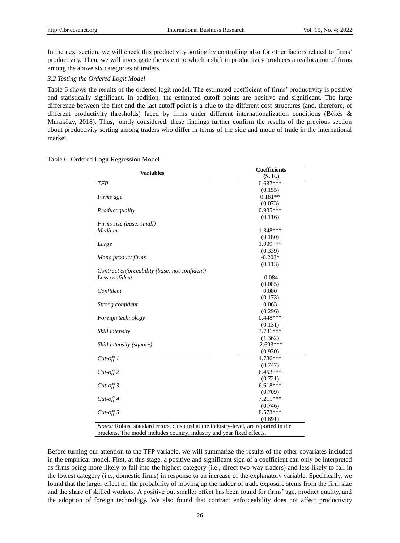In the next section, we will check this productivity sorting by controlling also for other factors related to firms' productivity. Then, we will investigate the extent to which a shift in productivity produces a reallocation of firms among the above six categories of traders.

## *3.2 Testing the Ordered Logit Model*

[Table 6](#page-8-0) shows the results of the ordered logit model. The estimated coefficient of firms' productivity is positive and statistically significant. In addition, the estimated cutoff points are positive and significant. The large difference between the first and the last cutoff point is a clue to the different cost structures (and, therefore, of different productivity thresholds) faced by firms under different internationalization conditions (B &  $\&$ Muraközy, 2018). Thus, jointly considered, these findings further confirm the results of the previous section about productivity sorting among traders who differ in terms of the side and mode of trade in the international market.

## <span id="page-8-0"></span>Table 6. Ordered Logit Regression Model

| <b>Variables</b>                                                                    | <b>Coefficients</b> |
|-------------------------------------------------------------------------------------|---------------------|
|                                                                                     | (S, E)              |
| <b>TFP</b>                                                                          | $0.637***$          |
|                                                                                     | (0.155)             |
| Firms age                                                                           | $0.181**$           |
|                                                                                     | (0.073)             |
| Product quality                                                                     | $0.985***$          |
|                                                                                     | (0.116)             |
| Firms size (base: small)                                                            |                     |
| Medium                                                                              | 1.348***            |
|                                                                                     | (0.180)             |
| Large                                                                               | 1.909***            |
|                                                                                     | (0.339)             |
| Mono product firms                                                                  | $-0.203*$           |
|                                                                                     | (0.113)             |
| Contract enforceability (base: not confident)                                       |                     |
| Less confident                                                                      | $-0.084$            |
|                                                                                     | (0.085)             |
| Confident                                                                           | 0.080               |
|                                                                                     | (0.173)             |
| Strong confident                                                                    | 0.063               |
|                                                                                     | (0.296)             |
| Foreign technology                                                                  | $0.448***$          |
|                                                                                     | (0.131)             |
| Skill intensity                                                                     | 3.731***            |
|                                                                                     | (1.362)             |
| Skill intensity (square)                                                            | $-2.693***$         |
|                                                                                     | (0.930)             |
| $Cut-off1$                                                                          | 4.786***            |
|                                                                                     | (0.747)             |
| $Cut$ -off 2                                                                        | $6.453***$          |
|                                                                                     | (0.721)             |
| $Cut$ -off $3$                                                                      | $6.618***$          |
|                                                                                     | (0.709)             |
| $Cut$ -off 4                                                                        | 7.211***            |
|                                                                                     | (0.746)             |
| $Cut$ -off 5                                                                        | 8.573***            |
|                                                                                     | (0.691)             |
| Notes: Robust standard errors, clustered at the industry-level, are reported in the |                     |
| brackets. The model includes country, industry and year fixed effects.              |                     |

Before turning our attention to the TFP variable, we will summarize the results of the other covariates included in the empirical model. First, at this stage, a positive and significant sign of a coefficient can only be interpreted as firms being more likely to fall into the highest category (i.e., direct two-way traders) and less likely to fall in the lowest category (i.e., domestic firms) in response to an increase of the explanatory variable. Specifically, we found that the larger effect on the probability of moving up the ladder of trade exposure stems from the firm size and the share of skilled workers. A positive but smaller effect has been found for firms' age, product quality, and the adoption of foreign technology. We also found that contract enforceability does not affect productivity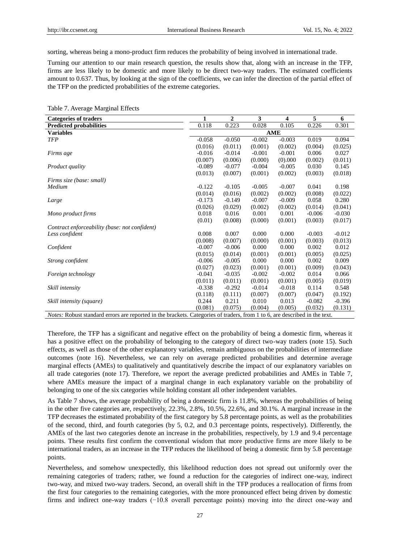sorting, whereas being a mono-product firm reduces the probability of being involved in international trade.

Turning our attention to our main research question, the results show that, along with an increase in the TFP, firms are less likely to be domestic and more likely to be direct two-way traders. The estimated coefficients amount to 0.637. Thus, by looking at the sign of the coefficients, we can infer the direction of the partial effect of the TFP on the predicted probabilities of the extreme categories.

| <b>Categories of traders</b>                                                                                                      | 1        | 2        | 3        | 4          | 5        | 6        |
|-----------------------------------------------------------------------------------------------------------------------------------|----------|----------|----------|------------|----------|----------|
| <b>Predicted probabilities</b>                                                                                                    | 0.118    | 0.223    | 0.028    | 0.105      | 0.226    | 0.301    |
| <b>Variables</b>                                                                                                                  |          |          |          | <b>AME</b> |          |          |
| <b>TFP</b>                                                                                                                        | $-0.058$ | $-0.050$ | $-0.002$ | $-0.003$   | 0.019    | 0.094    |
|                                                                                                                                   | (0.016)  | (0.011)  | (0.001)  | (0.002)    | (0.004)  | (0.025)  |
| Firms age                                                                                                                         | $-0.016$ | $-0.014$ | $-0.001$ | $-0.001$   | 0.006    | 0.027    |
|                                                                                                                                   | (0.007)  | (0.006)  | (0.000)  | $(0)$ ,000 | (0.002)  | (0.011)  |
| <i>Product quality</i>                                                                                                            | $-0.089$ | $-0.077$ | $-0.004$ | $-0.005$   | 0.030    | 0.145    |
|                                                                                                                                   | (0.013)  | (0.007)  | (0.001)  | (0.002)    | (0.003)  | (0.018)  |
| Firms size (base: small)                                                                                                          |          |          |          |            |          |          |
| Medium                                                                                                                            | $-0.122$ | $-0.105$ | $-0.005$ | $-0.007$   | 0.041    | 0.198    |
|                                                                                                                                   | (0.014)  | (0.016)  | (0.002)  | (0.002)    | (0.008)  | (0.022)  |
| Large                                                                                                                             | $-0.173$ | $-0.149$ | $-0.007$ | $-0.009$   | 0.058    | 0.280    |
|                                                                                                                                   | (0.026)  | (0.029)  | (0.002)  | (0.002)    | (0.014)  | (0.041)  |
| Mono product firms                                                                                                                | 0.018    | 0.016    | 0.001    | 0.001      | $-0.006$ | $-0.030$ |
|                                                                                                                                   | (0.01)   | (0.008)  | (0.000)  | (0.001)    | (0.003)  | (0.017)  |
| Contract enforceability (base: not confident)                                                                                     |          |          |          |            |          |          |
| Less confident                                                                                                                    | 0.008    | 0.007    | 0.000    | 0.000      | $-0.003$ | $-0.012$ |
|                                                                                                                                   | (0.008)  | (0.007)  | (0.000)  | (0.001)    | (0.003)  | (0.013)  |
| Confident                                                                                                                         | $-0.007$ | $-0.006$ | 0.000    | 0.000      | 0.002    | 0.012    |
|                                                                                                                                   | (0.015)  | (0.014)  | (0.001)  | (0.001)    | (0.005)  | (0.025)  |
| Strong confident                                                                                                                  | $-0.006$ | $-0.005$ | 0.000    | 0.000      | 0.002    | 0.009    |
|                                                                                                                                   | (0.027)  | (0.023)  | (0.001)  | (0.001)    | (0.009)  | (0.043)  |
| Foreign technology                                                                                                                | $-0.041$ | $-0.035$ | $-0.002$ | $-0.002$   | 0.014    | 0.066    |
|                                                                                                                                   | (0.011)  | (0.011)  | (0.001)  | (0.001)    | (0.005)  | (0.019)  |
| Skill intensity                                                                                                                   | $-0.338$ | $-0.292$ | $-0.014$ | $-0.018$   | 0.114    | 0.548    |
|                                                                                                                                   | (0.118)  | (0.111)  | (0.007)  | (0.007)    | (0.047)  | (0.192)  |
| Skill intensity (square)                                                                                                          | 0.244    | 0.211    | 0.010    | 0.013      | $-0.082$ | $-0.396$ |
|                                                                                                                                   | (0.081)  | (0.075)  | (0.004)  | (0.005)    | (0.032)  | (0.131)  |
| <i>Notes:</i> Robust standard errors are reported in the brackets. Categories of traders, from 1 to 6, are described in the text. |          |          |          |            |          |          |

<span id="page-9-0"></span>Table 7. Average Marginal Effects

Therefore, the TFP has a significant and negative effect on the probability of being a domestic firm, whereas it has a positive effect on the probability of belonging to the category of direct two-way traders (note 15). Such effects, as well as those of the other explanatory variables, remain ambiguous on the probabilities of intermediate outcomes (note 16). Nevertheless, we can rely on average predicted probabilities and determine average marginal effects (AMEs) to qualitatively and quantitatively describe the impact of our explanatory variables on all trade categories (note 17). Therefore, we report the average predicted probabilities and AMEs in [Table 7,](#page-9-0) where AMEs measure the impact of a marginal change in each explanatory variable on the probability of belonging to one of the six categories while holding constant all other independent variables.

As [Table 7](#page-9-0) shows, the average probability of being a domestic firm is 11.8%, whereas the probabilities of being in the other five categories are, respectively, 22.3%, 2.8%, 10.5%, 22.6%, and 30.1%. A marginal increase in the TFP decreases the estimated probability of the first category by 5.8 percentage points, as well as the probabilities of the second, third, and fourth categories (by 5, 0.2, and 0.3 percentage points, respectively). Differently, the AMEs of the last two categories denote an increase in the probabilities, respectively, by 1.9 and 9.4 percentage points. These results first confirm the conventional wisdom that more productive firms are more likely to be international traders, as an increase in the TFP reduces the likelihood of being a domestic firm by 5.8 percentage points.

Nevertheless, and somehow unexpectedly, this likelihood reduction does not spread out uniformly over the remaining categories of traders; rather, we found a reduction for the categories of indirect one-way, indirect two-way, and mixed two-way traders. Second, an overall shift in the TFP produces a reallocation of firms from the first four categories to the remaining categories, with the more pronounced effect being driven by domestic firms and indirect one-way traders (−10.8 overall percentage points) moving into the direct one-way and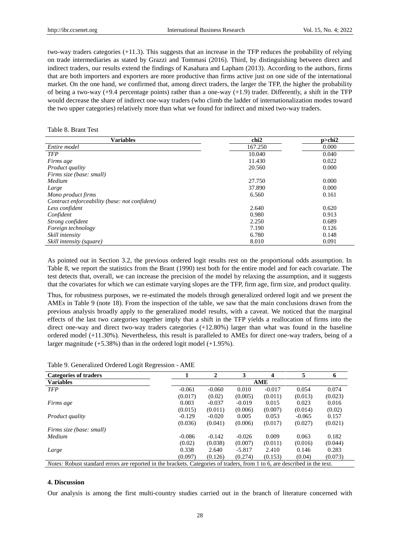two-way traders categories (+11.3). This suggests that an increase in the TFP reduces the probability of relying on trade intermediaries as stated by Grazzi and Tommasi (2016). Third, by distinguishing between direct and indirect traders, our results extend the findings of Kasahara and Lapham (2013). According to the authors, firms that are both importers and exporters are more productive than firms active just on one side of the international market. On the one hand, we confirmed that, among direct traders, the larger the TFP, the higher the probability of being a two-way  $(+9.4$  percentage points) rather than a one-way  $(+1.9)$  trader. Differently, a shift in the TFP would decrease the share of indirect one-way traders (who climb the ladder of internationalization modes toward the two upper categories) relatively more than what we found for indirect and mixed two-way traders.

#### <span id="page-10-0"></span>Table 8. Brant Test

| <b>Variables</b>                              | chi <sub>2</sub> | p>chi2 |
|-----------------------------------------------|------------------|--------|
| Entire model                                  | 167.250          | 0.000  |
| <b>TFP</b>                                    | 10.040           | 0.040  |
| Firms age                                     | 11.430           | 0.022  |
| Product quality                               | 20.560           | 0.000  |
| Firms size (base: small)                      |                  |        |
| Medium                                        | 27.750           | 0.000  |
| Large                                         | 37.890           | 0.000  |
| Mono product firms                            | 6.560            | 0.161  |
| Contract enforceability (base: not confident) |                  |        |
| Less confident                                | 2.640            | 0.620  |
| Confident                                     | 0.980            | 0.913  |
| Strong confident                              | 2.250            | 0.689  |
| Foreign technology                            | 7.190            | 0.126  |
| Skill intensity                               | 6.780            | 0.148  |
| Skill intensity (square)                      | 8.010            | 0.091  |

As pointed out in Section 3.2, the previous ordered logit results rest on the proportional odds assumption. In [Table 8,](#page-10-0) we report the statistics from the Brant (1990) test both for the entire model and for each covariate. The test detects that, overall, we can increase the precision of the model by relaxing the assumption, and it suggests that the covariates for which we can estimate varying slopes are the TFP, firm age, firm size, and product quality.

Thus, for robustness purposes, we re-estimated the models through generalized ordered logit and we present the AMEs in [Table 9](#page-10-1) (note 18). From the inspection of the table, we saw that the main conclusions drawn from the previous analysis broadly apply to the generalized model results, with a caveat. We noticed that the marginal effects of the last two categories together imply that a shift in the TFP yields a reallocation of firms into the direct one-way and direct two-way traders categories (+12.80%) larger than what was found in the baseline ordered model (+11.30%). Nevertheless, this result is paralleled to AMEs for direct one-way traders, being of a larger magnitude (+5.38%) than in the ordered logit model (+1.95%).

<span id="page-10-1"></span>

| Table 9. Generalized Ordered Logit Regression - AME |  |  |  |  |  |  |
|-----------------------------------------------------|--|--|--|--|--|--|
|-----------------------------------------------------|--|--|--|--|--|--|

| <b>Categories of traders</b>                                                                                                      |          | $\mathbf 2$ | 3        | Δ        | 5        | 6       |
|-----------------------------------------------------------------------------------------------------------------------------------|----------|-------------|----------|----------|----------|---------|
| <b>Variables</b>                                                                                                                  | AME      |             |          |          |          |         |
| <b>TFP</b>                                                                                                                        | $-0.061$ | $-0.060$    | 0.010    | $-0.017$ | 0.054    | 0.074   |
|                                                                                                                                   | (0.017)  | (0.02)      | (0.005)  | (0.011)  | (0.013)  | (0.023) |
| Firms age                                                                                                                         | 0.003    | $-0.037$    | $-0.019$ | 0.015    | 0.023    | 0.016   |
|                                                                                                                                   | (0.015)  | (0.011)     | (0.006)  | (0.007)  | (0.014)  | (0.02)  |
| <i>Product quality</i>                                                                                                            | $-0.129$ | $-0.020$    | 0.005    | 0.053    | $-0.065$ | 0.157   |
|                                                                                                                                   | (0.036)  | (0.041)     | (0.006)  | (0.017)  | (0.027)  | (0.021) |
| Firms size (base: small)                                                                                                          |          |             |          |          |          |         |
| Medium                                                                                                                            | $-0.086$ | $-0.142$    | $-0.026$ | 0.009    | 0.063    | 0.182   |
|                                                                                                                                   | (0.02)   | (0.038)     | (0.007)  | (0.011)  | (0.016)  | (0.044) |
| Large                                                                                                                             | 0.338    | 2.640       | $-5.817$ | 2.410    | 0.146    | 0.283   |
|                                                                                                                                   | (0.097)  | (0.126)     | (0.274)  | (0.153)  | (0.04)   | (0.073) |
| <i>Notes:</i> Robust standard errors are reported in the brackets. Categories of traders, from 1 to 6, are described in the text. |          |             |          |          |          |         |

## **4. Discussion**

Our analysis is among the first multi-country studies carried out in the branch of literature concerned with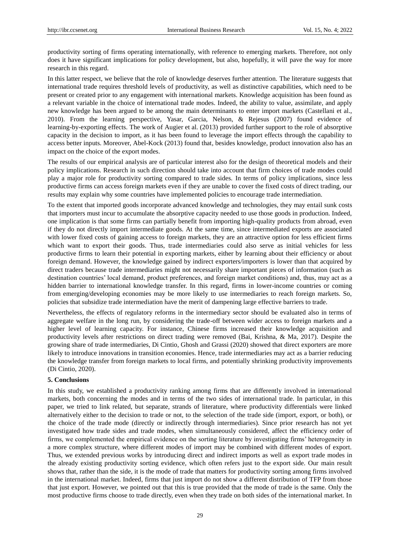productivity sorting of firms operating internationally, with reference to emerging markets. Therefore, not only does it have significant implications for policy development, but also, hopefully, it will pave the way for more research in this regard.

In this latter respect, we believe that the role of knowledge deserves further attention. The literature suggests that international trade requires threshold levels of productivity, as well as distinctive capabilities, which need to be present or created prior to any engagement with international markets. Knowledge acquisition has been found as a relevant variable in the choice of international trade modes. Indeed, the ability to value, assimilate, and apply new knowledge has been argued to be among the main determinants to enter import markets (Castellani et al., 2010). From the learning perspective, Yasar, Garcia, Nelson, & Rejesus (2007) found evidence of learning-by-exporting effects. The work of Augier et al. (2013) provided further support to the role of absorptive capacity in the decision to import, as it has been found to leverage the import effects through the capability to access better inputs. Moreover, Abel-Kock (2013) found that, besides knowledge, product innovation also has an impact on the choice of the export modes.

The results of our empirical analysis are of particular interest also for the design of theoretical models and their policy implications. Research in such direction should take into account that firm choices of trade modes could play a major role for productivity sorting compared to trade sides. In terms of policy implications, since less productive firms can access foreign markets even if they are unable to cover the fixed costs of direct trading, our results may explain why some countries have implemented policies to encourage trade intermediation.

To the extent that imported goods incorporate advanced knowledge and technologies, they may entail sunk costs that importers must incur to accumulate the absorptive capacity needed to use those goods in production. Indeed, one implication is that some firms can partially benefit from importing high-quality products from abroad, even if they do not directly import intermediate goods. At the same time, since intermediated exports are associated with lower fixed costs of gaining access to foreign markets, they are an attractive option for less efficient firms which want to export their goods. Thus, trade intermediaries could also serve as initial vehicles for less productive firms to learn their potential in exporting markets, either by learning about their efficiency or about foreign demand. However, the knowledge gained by indirect exporters/importers is lower than that acquired by direct traders because trade intermediaries might not necessarily share important pieces of information (such as destination countries' local demand, product preferences, and foreign market conditions) and, thus, may act as a hidden barrier to international knowledge transfer. In this regard, firms in lower-income countries or coming from emerging/developing economies may be more likely to use intermediaries to reach foreign markets. So, policies that subsidize trade intermediation have the merit of dampening large effective barriers to trade.

Nevertheless, the effects of regulatory reforms in the intermediary sector should be evaluated also in terms of aggregate welfare in the long run, by considering the trade-off between wider access to foreign markets and a higher level of learning capacity. For instance, Chinese firms increased their knowledge acquisition and productivity levels after restrictions on direct trading were removed (Bai, Krishna, & Ma, 2017). Despite the growing share of trade intermediaries, Di Cintio, Ghosh and Grassi (2020) showed that direct exporters are more likely to introduce innovations in transition economies. Hence, trade intermediaries may act as a barrier reducing the knowledge transfer from foreign markets to local firms, and potentially shrinking productivity improvements (Di Cintio, 2020).

## **5. Conclusions**

In this study, we established a productivity ranking among firms that are differently involved in international markets, both concerning the modes and in terms of the two sides of international trade. In particular, in this paper, we tried to link related, but separate, strands of literature, where productivity differentials were linked alternatively either to the decision to trade or not, to the selection of the trade side (import, export, or both), or the choice of the trade mode (directly or indirectly through intermediaries). Since prior research has not yet investigated how trade sides and trade modes, when simultaneously considered, affect the efficiency order of firms, we complemented the empirical evidence on the sorting literature by investigating firms' heterogeneity in a more complex structure, where different modes of import may be combined with different modes of export. Thus, we extended previous works by introducing direct and indirect imports as well as export trade modes in the already existing productivity sorting evidence, which often refers just to the export side. Our main result shows that, rather than the side, it is the mode of trade that matters for productivity sorting among firms involved in the international market. Indeed, firms that just import do not show a different distribution of TFP from those that just export. However, we pointed out that this is true provided that the mode of trade is the same. Only the most productive firms choose to trade directly, even when they trade on both sides of the international market. In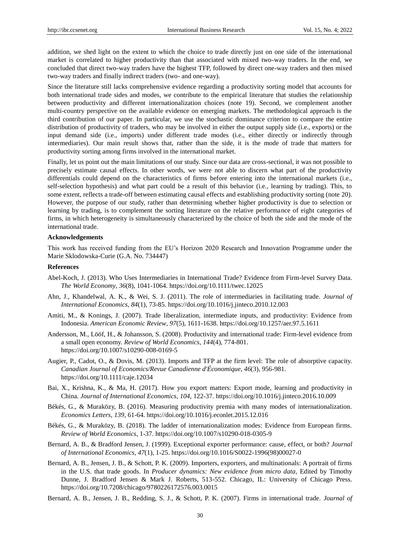addition, we shed light on the extent to which the choice to trade directly just on one side of the international market is correlated to higher productivity than that associated with mixed two-way traders. In the end, we concluded that direct two-way traders have the highest TFP, followed by direct one-way traders and then mixed two-way traders and finally indirect traders (two- and one-way).

Since the literature still lacks comprehensive evidence regarding a productivity sorting model that accounts for both international trade sides and modes, we contribute to the empirical literature that studies the relationship between productivity and different internationalization choices (note 19). Second, we complement another multi-country perspective on the available evidence on emerging markets. The methodological approach is the third contribution of our paper. In particular, we use the stochastic dominance criterion to compare the entire distribution of productivity of traders, who may be involved in either the output supply side (i.e., exports) or the input demand side (i.e., imports) under different trade modes (i.e., either directly or indirectly through intermediaries). Our main result shows that, rather than the side, it is the mode of trade that matters for productivity sorting among firms involved in the international market.

Finally, let us point out the main limitations of our study. Since our data are cross-sectional, it was not possible to precisely estimate causal effects. In other words, we were not able to discern what part of the productivity differentials could depend on the characteristics of firms before entering into the international markets (i.e., self-selection hypothesis) and what part could be a result of this behavior (i.e., learning by trading). This, to some extent, reflects a trade-off between estimating causal effects and establishing productivity sorting (note 20). However, the purpose of our study, rather than determining whether higher productivity is due to selection or learning by trading, is to complement the sorting literature on the relative performance of eight categories of firms, in which heterogeneity is simultaneously characterized by the choice of both the side and the mode of the international trade.

## **Acknowledgements**

This work has received funding from the EU's Horizon 2020 Research and Innovation Programme under the Marie Sklodowska-Curie (G.A. No. 734447)

## **References**

- Abel-Koch, J. (2013). Who Uses Intermediaries in International Trade? Evidence from Firm-level Survey Data. *The World Economy*, *36*(8), 1041-1064. https://doi.org/10.1111/twec.12025
- Ahn, J., Khandelwal, A. K., & Wei, S. J. (2011). The role of intermediaries in facilitating trade. *Journal of International Economics*, *84*(1), 73-85. https://doi.org/10.1016/j.jinteco.2010.12.003
- Amiti, M., & Konings, J. (2007). Trade liberalization, intermediate inputs, and productivity: Evidence from Indonesia. *American Economic Review*, *97*(5), 1611-1638. https://doi.org/10.1257/aer.97.5.1611
- Andersson, M., Lööf, H., & Johansson, S. (2008). Productivity and international trade: Firm-level evidence from a small open economy. *Review of World Economics*, *144*(4), 774-801. https://doi.org/10.1007/s10290-008-0169-5
- Augier, P., Cadot, O., & Dovis, M. (2013). Imports and TFP at the firm level: The role of absorptive capacity. *Canadian Journal of Economics/Revue Canadienne d'Économique*, *46*(3), 956-981. https://doi.org/10.1111/caje.12034
- Bai, X., Krishna, K., & Ma, H. (2017). How you export matters: Export mode, learning and productivity in China. *Journal of International Economics*, *104,* 122-37. https://doi.org/10.1016/j.jinteco.2016.10.009
- Békés, G., & Muraközy, B. (2016). Measuring productivity premia with many modes of internationalization. *Economics Letters*, *139*, 61-64. https://doi.org/10.1016/j.econlet.2015.12.016
- Békés, G., & Muraközy, B. (2018). The ladder of internationalization modes: Evidence from European firms. *Review of World Economics*, 1-37. https://doi.org/10.1007/s10290-018-0305-9
- Bernard, A. B., & Bradford Jensen, J. (1999). Exceptional exporter performance: cause, effect, or both? *Journal of International Economics*, *47*(1), 1-25. https://doi.org/10.1016/S0022-1996(98)00027-0
- Bernard, A. B., Jensen, J. B., & Schott, P. K. (2009). Importers, exporters, and multinationals: A portrait of firms in the U.S. that trade goods. In *Producer dynamics: New evidence from micro data*, Edited by Timothy Dunne, J. Bradford Jensen & Mark J. Roberts, 513-552. Chicago, IL: University of Chicago Press. https://doi.org/10.7208/chicago/9780226172576.003.0015
- Bernard, A. B., Jensen, J. B., Redding, S. J., & Schott, P. K. (2007). Firms in international trade. *Journal of*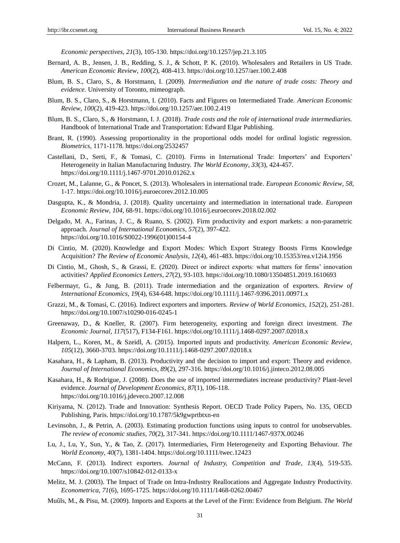*Economic perspectives*, *21*(3), 105-130. https://doi.org/10.1257/jep.21.3.105

- Bernard, A. B., Jensen, J. B., Redding, S. J., & Schott, P. K. (2010). Wholesalers and Retailers in US Trade. *American Economic Review*, *100*(2), 408-413. https://doi.org/10.1257/aer.100.2.408
- Blum, B. S., Claro, S., & Horstmann, I. (2009). *Intermediation and the nature of trade costs: Theory and evidence.* University of Toronto, mimeograph.
- Blum, B. S., Claro, S., & Horstmann, I. (2010). Facts and Figures on Intermediated Trade. *American Economic Review*, *100*(2), 419-423. https://doi.org/10.1257/aer.100.2.419
- Blum, B. S., Claro, S., & Horstmann, I. J. (2018). *Trade costs and the role of international trade intermediaries.* Handbook of International Trade and Transportation: Edward Elgar Publishing.
- Brant, R. (1990). Assessing proportionality in the proportional odds model for ordinal logistic regression. *Biometrics*, 1171-1178. https://doi.org/2532457
- Castellani, D., Serti, F., & Tomasi, C. (2010). Firms in International Trade: Importers' and Exporters' Heterogeneity in Italian Manufacturing Industry. *The World Economy*, *33*(3), 424-457. https://doi.org/10.1111/j.1467-9701.2010.01262.x
- Crozet, M., Lalanne, G., & Poncet, S. (2013). Wholesalers in international trade. *European Economic Review*, *58,*  1-17. https://doi.org/10.1016/j.euroecorev.2012.10.005
- Dasgupta, K., & Mondria, J. (2018). Quality uncertainty and intermediation in international trade. *European Economic Review*, *104,* 68-91. https://doi.org/10.1016/j.euroecorev.2018.02.002
- Delgado, M. A., Farinas, J. C., & Ruano, S. (2002). Firm productivity and export markets: a non-parametric approach. *Journal of International Economics*, *57*(2), 397-422. https://doi.org/10.1016/S0022-1996(01)00154-4
- Di Cintio, M. (2020). Knowledge and Export Modes: Which Export Strategy Boosts Firms Knowledge Acquisition? *The Review of Economic Analysis*, *12*(4), 461-483. https://doi.org/10.15353/rea.v12i4.1956
- Di Cintio, M., Ghosh, S., & Grassi, E. (2020). Direct or indirect exports: what matters for firms' innovation activities? *Applied Economics Letters*, *27*(2), 93-103. https://doi.org/10.1080/13504851.2019.1610693
- Felbermayr, G., & Jung, B. (2011). Trade intermediation and the organization of exporters. *Review of International Economics*, *19*(4), 634-648. https://doi.org/10.1111/j.1467-9396.2011.00971.x
- Grazzi, M., & Tomasi, C. (2016). Indirect exporters and importers. *Review of World Economics*, *152*(2), 251-281. https://doi.org/10.1007/s10290-016-0245-1
- Greenaway, D., & Kneller, R. (2007). Firm heterogeneity, exporting and foreign direct investment. *The Economic Journal*, *117*(517), F134-F161. https://doi.org/10.1111/j.1468-0297.2007.02018.x
- Halpern, L., Koren, M., & Szeidl, A. (2015). Imported inputs and productivity. *American Economic Review*, *105*(12), 3660-3703. https://doi.org/10.1111/j.1468-0297.2007.02018.x
- Kasahara, H., & Lapham, B. (2013). Productivity and the decision to import and export: Theory and evidence. *Journal of International Economics*, *89*(2), 297-316. https://doi.org/10.1016/j.jinteco.2012.08.005
- Kasahara, H., & Rodrigue, J. (2008). Does the use of imported intermediates increase productivity? Plant-level evidence. *Journal of Development Economics*, *87*(1), 106-118. https://doi.org/10.1016/j.jdeveco.2007.12.008
- Kiriyama, N. (2012). Trade and Innovation: Synthesis Report. OECD Trade Policy Papers, No. 135, OECD Publishing, Paris. https://doi.org/10.1787/5k9gwprtbtxn-en
- Levinsohn, J., & Petrin, A. (2003). Estimating production functions using inputs to control for unobservables. *The review of economic studies*, *70*(2), 317-341. https://doi.org/10.1111/1467-937X.00246
- Lu, J., Lu, Y., Sun, Y., & Tao, Z. (2017). Intermediaries, Firm Heterogeneity and Exporting Behaviour. *The World Economy*, *40*(7), 1381-1404. https://doi.org/10.1111/twec.12423
- McCann, F. (2013). Indirect exporters. *Journal of Industry, Competition and Trade*, *13*(4), 519-535. https://doi.org/10.1007/s10842-012-0133-x
- Melitz, M. J. (2003). The Impact of Trade on Intra-Industry Reallocations and Aggregate Industry Productivity. *Econometrica*, *71*(6), 1695-1725. https://doi.org/10.1111/1468-0262.00467
- Muûls, M., & Pisu, M. (2009). Imports and Exports at the Level of the Firm: Evidence from Belgium. *The World*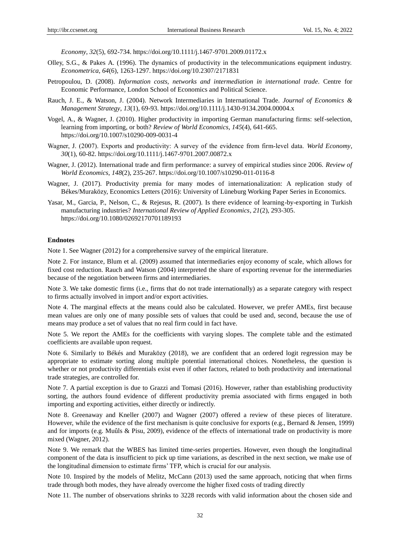*Economy*, *32*(5), 692-734. https://doi.org/10.1111/j.1467-9701.2009.01172.x

- Olley, S.G., & Pakes A. (1996). The dynamics of productivity in the telecommunications equipment industry. *Econometrica*, *64*(6), 1263-1297. https://doi.org/10.2307/2171831
- Petropoulou, D. (2008). *Information costs, networks and intermediation in international trade.* Centre for Economic Performance, London School of Economics and Political Science.
- Rauch, J. E., & Watson, J. (2004). Network Intermediaries in International Trade. *Journal of Economics & Management Strategy*, *13*(1), 69-93. https://doi.org/10.1111/j.1430-9134.2004.00004.x
- Vogel, A., & Wagner, J. (2010). Higher productivity in importing German manufacturing firms: self-selection, learning from importing, or both? *Review of World Economics*, *145*(4), 641-665. https://doi.org/10.1007/s10290-009-0031-4
- Wagner, J. (2007). Exports and productivity: A survey of the evidence from firm-level data. *World Economy*, *30*(1), 60-82. https://doi.org/10.1111/j.1467-9701.2007.00872.x
- Wagner, J. (2012). International trade and firm performance: a survey of empirical studies since 2006. *Review of World Economics*, *148*(2), 235-267. https://doi.org/10.1007/s10290-011-0116-8
- Wagner, J. (2017). Productivity premia for many modes of internationalization: A replication study of Békes/Muraközy, Economics Letters (2016): University of Lüneburg Working Paper Series in Economics.
- Yasar, M., Garcia, P., Nelson, C., & Rejesus, R. (2007). Is there evidence of learning-by-exporting in Turkish manufacturing industries? *International Review of Applied Economics*, *21*(2), 293-305. https://doi.org/10.1080/02692170701189193

#### **Endnotes**

Note 1. See Wagner (2012) for a comprehensive survey of the empirical literature.

Note 2. For instance, Blum et al. (2009) assumed that intermediaries enjoy economy of scale, which allows for fixed cost reduction. Rauch and Watson (2004) interpreted the share of exporting revenue for the intermediaries because of the negotiation between firms and intermediaries.

Note 3. We take domestic firms (i.e., firms that do not trade internationally) as a separate category with respect to firms actually involved in import and/or export activities.

Note 4. The marginal effects at the means could also be calculated. However, we prefer AMEs, first because mean values are only one of many possible sets of values that could be used and, second, because the use of means may produce a set of values that no real firm could in fact have.

Note 5. We report the AMEs for the coefficients with varying slopes. The complete table and the estimated coefficients are available upon request.

Note 6. Similarly to B &  $\&$  and Muraközy (2018), we are confident that an ordered logit regression may be appropriate to estimate sorting along multiple potential international choices. Nonetheless, the question is whether or not productivity differentials exist even if other factors, related to both productivity and international trade strategies, are controlled for.

Note 7. A partial exception is due to Grazzi and Tomasi (2016). However, rather than establishing productivity sorting, the authors found evidence of different productivity premia associated with firms engaged in both importing and exporting activities, either directly or indirectly.

Note 8. Greenaway and Kneller (2007) and Wagner (2007) offered a review of these pieces of literature. However, while the evidence of the first mechanism is quite conclusive for exports (e.g., Bernard & Jensen, 1999) and for imports (e.g. Muûls & Pisu, 2009), evidence of the effects of international trade on productivity is more mixed (Wagner, 2012).

Note 9. We remark that the WBES has limited time-series properties. However, even though the longitudinal component of the data is insufficient to pick up time variations, as described in the next section, we make use of the longitudinal dimension to estimate firms' TFP, which is crucial for our analysis.

Note 10. Inspired by the models of Melitz, McCann (2013) used the same approach, noticing that when firms trade through both modes, they have already overcome the higher fixed costs of trading directly

Note 11. The number of observations shrinks to 3228 records with valid information about the chosen side and